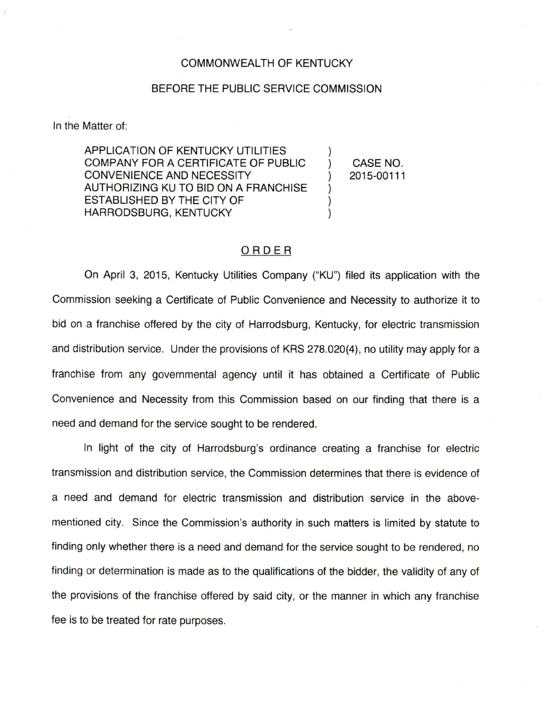## COMMONWEALTH OF KENTUCKY

## BEFORE THE PUBLIC SERVICE COMMISSION

In the Matter of:

APPLICATION OF KENTUCKY UTILITIES COMPANY FOR A CERTIFICATE OF PUBLIC CONVENIENCE AND NECESSITY AUTHORIZING KU TO BID ON A FRANCHISE ESTABLISHED BY THE CITY OF HARRODSBURG, KENTUCKY

CASE NO. 2015-00111

 $\mathcal{E}$ 

 $\lambda$ 

## ORDER

On April 3, 2015, Kentucky Utilities Company ("KU") filed its application with the Commission seeking a Certificate of Public Convenience and Necessity to authorize it to bid on a franchise offered by the city of Harrodsburg, Kentucky, for electric transmission and distribution service. Under the provisions of KRS 278.020(4), no utility may apply for a franchise from any governmental agency until it has obtained a Certificate of Public Convenience and Necessity from this Commission based on our finding that there is a need and demand for the service sought to be rendered.

In light of the city of Harrodsburg's ordinance creating a franchise for electric transmission and distribution service, the Commission determines that there is evidence of a need and demand for electric transmission and distribution service in the abovementioned city. Since the Commission's authority in such matters is limited by statute to finding only whether there is a need and demand for the service sought to be rendered, no finding or determination is made as to the qualifications of the bidder, the validity of any of the provisions of the franchise offered by said city, or the manner in which any franchise fee is to be treated for rate purposes.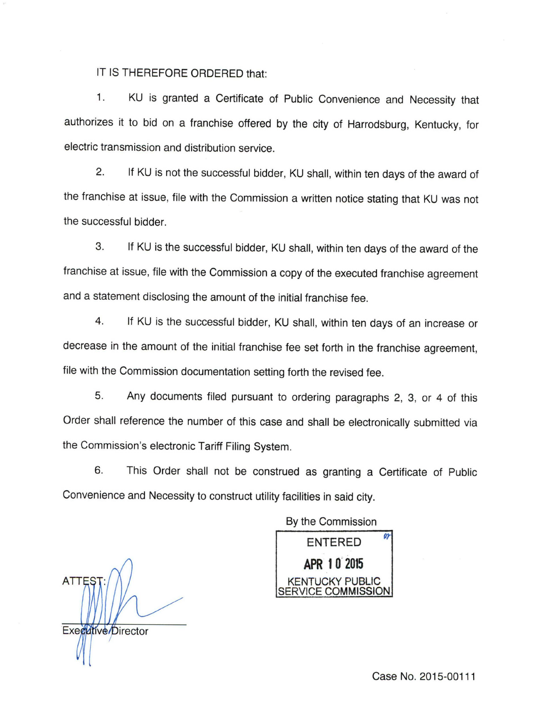IT IS THEREFORE ORDERED that:

1. KU is granted a Certificate of Public Convenience and Necessity that authorizes it to bid on a franchise offered by the city of Harrodsburg, Kentucky, for electric transmission and distribution service.

2. If KU is not the successful bidder, KU shall, within ten days of the award of the franchise at issue, file with the Commission a written notice stating that KU was not the successful bidder.

3. If KU is the successful bidder, KU shall, within ten days of the award of the franchise at issue, file with the Commission a copy of the executed franchise agreement and a statement disclosing the amount of the initial franchise fee.

4. If KU is the successful bidder, KU shall, within ten days of an increase or decrease in the amount of the initial franchise fee set forth in the franchise agreement, file with the Commission documentation setting forth the revised fee.

5. Any documents filed pursuant to ordering paragraphs 2, 3, or 4 of this Order shall reference the number of this case and shall be electronically submitted via the Commission's electronic Tariff Filing System.

6. This Order shall not be construed as granting a Certificate of Public Convenience and Necessity to construct utility facilities in said city.

**ATTES** Executive/Director

By the Commission ENTERED<sup>®</sup> APR 10 2015 KENTUCKY PUBLIC SERVICE COMMISSION

Case No. 2015-00111